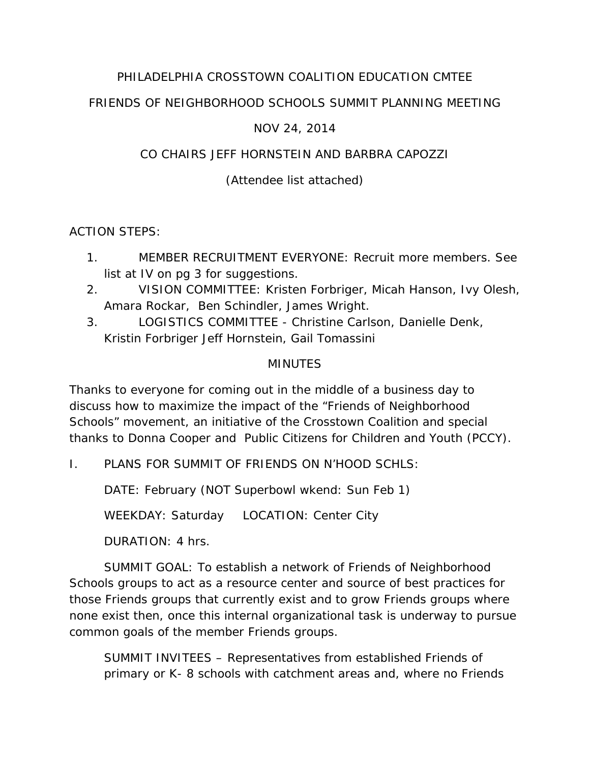# PHILADELPHIA CROSSTOWN COALITION EDUCATION CMTEE

# FRIENDS OF NEIGHBORHOOD SCHOOLS SUMMIT PLANNING MEETING

#### NOV 24, 2014

#### CO CHAIRS JEFF HORNSTEIN AND BARBRA CAPOZZI

# (Attendee list attached)

ACTION STEPS:

- 1. MEMBER RECRUITMENT EVERYONE: Recruit more members. See list at IV on pg 3 for suggestions.
- 2. VISION COMMITTEE: Kristen Forbriger, Micah Hanson, Ivy Olesh, Amara Rockar, Ben Schindler, James Wright.
- 3. LOGISTICS COMMITTEE Christine Carlson, Danielle Denk, Kristin Forbriger Jeff Hornstein, Gail Tomassini

#### MINUTES

Thanks to everyone for coming out in the middle of a business day to discuss how to maximize the impact of the "Friends of Neighborhood Schools" movement, an initiative of the Crosstown Coalition and special thanks to Donna Cooper and Public Citizens for Children and Youth (PCCY).

I. PLANS FOR SUMMIT OF FRIENDS ON N'HOOD SCHLS:

DATE: February (NOT Superbowl wkend: Sun Feb 1)

WEEKDAY: Saturday LOCATION: Center City

DURATION: 4 hrs.

 SUMMIT GOAL: To establish a network of Friends of Neighborhood Schools groups to act as a resource center and source of best practices for those Friends groups that currently exist and to grow Friends groups where none exist then, once this internal organizational task is underway to pursue common goals of the member Friends groups.

SUMMIT INVITEES – Representatives from established Friends of primary or K- 8 schools with catchment areas and, where no Friends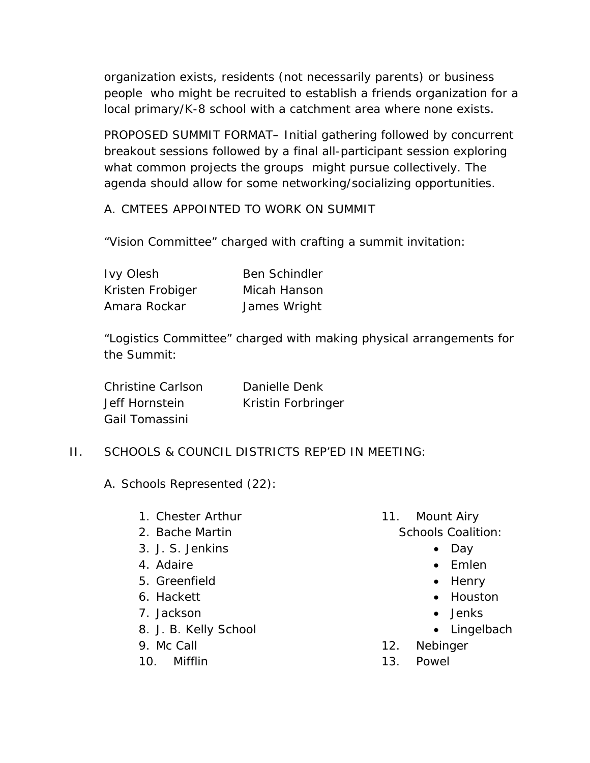organization exists, residents (not necessarily parents) or business people who might be recruited to establish a friends organization for a local primary/K-8 school with a catchment area where none exists.

PROPOSED SUMMIT FORMAT– Initial gathering followed by concurrent breakout sessions followed by a final all-participant session exploring what common projects the groups might pursue collectively. The agenda should allow for some networking/socializing opportunities.

A. CMTEES APPOINTED TO WORK ON SUMMIT

"Vision Committee" charged with crafting a summit invitation:

| <b>Ivy Olesh</b> | <b>Ben Schindler</b> |
|------------------|----------------------|
| Kristen Frobiger | Micah Hanson         |
| Amara Rockar     | James Wright         |

"Logistics Committee" charged with making physical arrangements for the Summit:

| Christine Carlson | Danielle Denk      |
|-------------------|--------------------|
| Jeff Hornstein    | Kristin Forbringer |
| Gail Tomassini    |                    |

# II. SCHOOLS & COUNCIL DISTRICTS REP'ED IN MEETING:

- A. Schools Represented (22):
	- 1. Chester Arthur
	- 2. Bache Martin
	- 3. J. S. Jenkins
	- 4. Adaire
	- 5. Greenfield
	- 6. Hackett
	- 7. Jackson
	- 8. J. B. Kelly School
	- 9. Mc Call
	- 10. Mifflin
- 11. Mount Airy Schools Coalition:
	- Day
	- Emlen
	- $\bullet$  Henry
	- Houston
	- Jenks
	- Lingelbach
- 12. Nebinger
- 13. Powel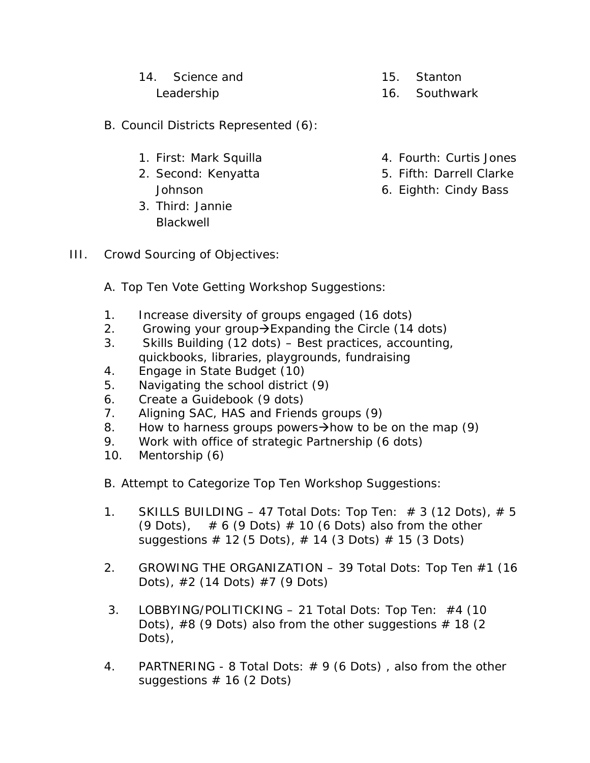| 14. Science and | 15. Stanton   |
|-----------------|---------------|
| Leadership      | 16. Southwark |

- B. Council Districts Represented (6):
	- 1. First: Mark Squilla
	- 2. Second: Kenyatta Johnson
	- 3. Third: Jannie **Blackwell**
- 4. Fourth: Curtis Jones
- 5. Fifth: Darrell Clarke
- 6. Eighth: Cindy Bass

- III. Crowd Sourcing of Objectives:
	- A. Top Ten Vote Getting Workshop Suggestions:
	- 1. Increase diversity of groups engaged (16 dots)
	- 2. Growing your group  $\rightarrow$  Expanding the Circle (14 dots)
	- 3. Skills Building (12 dots) Best practices, accounting, quickbooks, libraries, playgrounds, fundraising
	- 4. Engage in State Budget (10)
	- 5. Navigating the school district (9)
	- 6. Create a Guidebook (9 dots)
	- 7. Aligning SAC, HAS and Friends groups (9)
	- 8. How to harness groups powers $\rightarrow$ how to be on the map (9)
	- 9. Work with office of strategic Partnership (6 dots)
	- 10. Mentorship (6)
	- B. Attempt to Categorize Top Ten Workshop Suggestions:
	- 1. SKILLS BUILDING 47 Total Dots: Top Ten:  $\#$  3 (12 Dots),  $\#$  5 (9 Dots),  $\# 6$  (9 Dots)  $\# 10$  (6 Dots) also from the other suggestions  $\#$  12 (5 Dots),  $\#$  14 (3 Dots)  $\#$  15 (3 Dots)
	- 2. GROWING THE ORGANIZATION 39 Total Dots: Top Ten #1 (16 Dots), #2 (14 Dots) #7 (9 Dots)
	- 3. LOBBYING/POLITICKING 21 Total Dots: Top Ten: #4 (10 Dots),  $#8$  (9 Dots) also from the other suggestions  $# 18$  (2 Dots),
	- 4. PARTNERING 8 Total Dots:  $# 9$  (6 Dots), also from the other suggestions  $# 16 (2 \text{ Dots})$